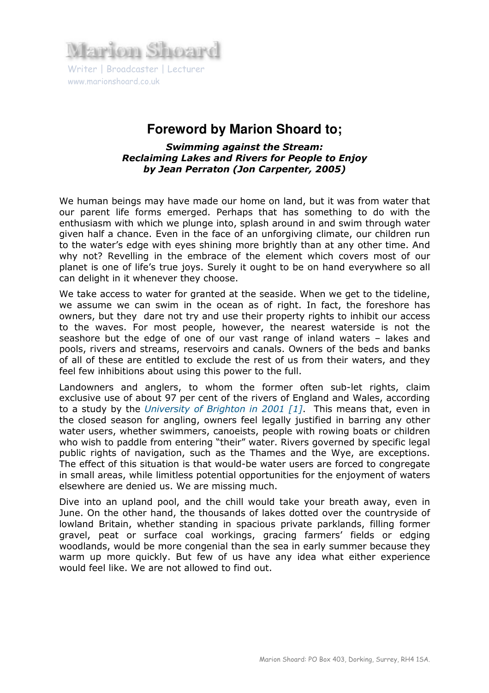

## **Foreword by Marion Shoard to;**

Swimming against the Stream: Reclaiming Lakes and Rivers for People to Enjoy by Jean Perraton (Jon Carpenter, 2005)

We human beings may have made our home on land, but it was from water that our parent life forms emerged. Perhaps that has something to do with the enthusiasm with which we plunge into, splash around in and swim through water given half a chance. Even in the face of an unforgiving climate, our children run to the water's edge with eyes shining more brightly than at any other time. And why not? Revelling in the embrace of the element which covers most of our planet is one of life's true joys. Surely it ought to be on hand everywhere so all can delight in it whenever they choose.

We take access to water for granted at the seaside. When we get to the tideline, we assume we can swim in the ocean as of right. In fact, the foreshore has owners, but they dare not try and use their property rights to inhibit our access to the waves. For most people, however, the nearest waterside is not the seashore but the edge of one of our vast range of inland waters – lakes and pools, rivers and streams, reservoirs and canals. Owners of the beds and banks of all of these are entitled to exclude the rest of us from their waters, and they feel few inhibitions about using this power to the full.

Landowners and anglers, to whom the former often sub-let rights, claim exclusive use of about 97 per cent of the rivers of England and Wales, according to a study by the University of Brighton in 2001 [1]. This means that, even in the closed season for angling, owners feel legally justified in barring any other water users, whether swimmers, canoeists, people with rowing boats or children who wish to paddle from entering "their" water. Rivers governed by specific legal public rights of navigation, such as the Thames and the Wye, are exceptions. The effect of this situation is that would-be water users are forced to congregate in small areas, while limitless potential opportunities for the enjoyment of waters elsewhere are denied us. We are missing much.

Dive into an upland pool, and the chill would take your breath away, even in June. On the other hand, the thousands of lakes dotted over the countryside of lowland Britain, whether standing in spacious private parklands, filling former gravel, peat or surface coal workings, gracing farmers' fields or edging woodlands, would be more congenial than the sea in early summer because they warm up more quickly. But few of us have any idea what either experience would feel like. We are not allowed to find out.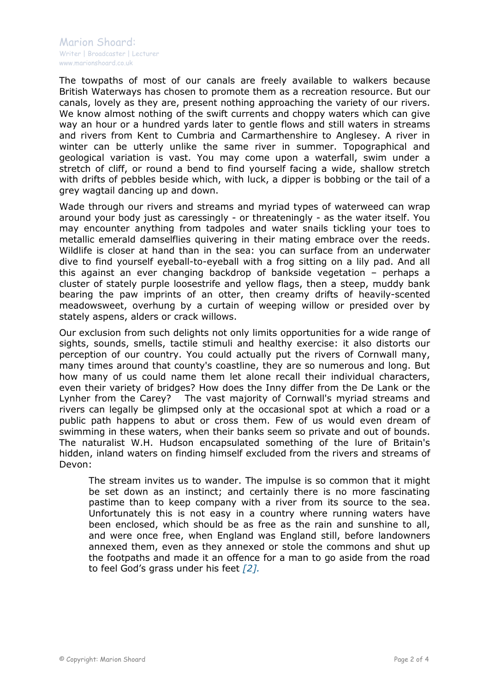The towpaths of most of our canals are freely available to walkers because British Waterways has chosen to promote them as a recreation resource. But our canals, lovely as they are, present nothing approaching the variety of our rivers. We know almost nothing of the swift currents and choppy waters which can give way an hour or a hundred yards later to gentle flows and still waters in streams and rivers from Kent to Cumbria and Carmarthenshire to Anglesey. A river in winter can be utterly unlike the same river in summer. Topographical and geological variation is vast. You may come upon a waterfall, swim under a stretch of cliff, or round a bend to find yourself facing a wide, shallow stretch with drifts of pebbles beside which, with luck, a dipper is bobbing or the tail of a grey wagtail dancing up and down.

Wade through our rivers and streams and myriad types of waterweed can wrap around your body just as caressingly - or threateningly - as the water itself. You may encounter anything from tadpoles and water snails tickling your toes to metallic emerald damselflies quivering in their mating embrace over the reeds. Wildlife is closer at hand than in the sea: you can surface from an underwater dive to find yourself eyeball-to-eyeball with a frog sitting on a lily pad. And all this against an ever changing backdrop of bankside vegetation – perhaps a cluster of stately purple loosestrife and yellow flags, then a steep, muddy bank bearing the paw imprints of an otter, then creamy drifts of heavily-scented meadowsweet, overhung by a curtain of weeping willow or presided over by stately aspens, alders or crack willows.

Our exclusion from such delights not only limits opportunities for a wide range of sights, sounds, smells, tactile stimuli and healthy exercise: it also distorts our perception of our country. You could actually put the rivers of Cornwall many, many times around that county's coastline, they are so numerous and long. But how many of us could name them let alone recall their individual characters, even their variety of bridges? How does the Inny differ from the De Lank or the Lynher from the Carey? The vast majority of Cornwall's myriad streams and rivers can legally be glimpsed only at the occasional spot at which a road or a public path happens to abut or cross them. Few of us would even dream of swimming in these waters, when their banks seem so private and out of bounds. The naturalist W.H. Hudson encapsulated something of the lure of Britain's hidden, inland waters on finding himself excluded from the rivers and streams of Devon:

The stream invites us to wander. The impulse is so common that it might be set down as an instinct; and certainly there is no more fascinating pastime than to keep company with a river from its source to the sea. Unfortunately this is not easy in a country where running waters have been enclosed, which should be as free as the rain and sunshine to all, and were once free, when England was England still, before landowners annexed them, even as they annexed or stole the commons and shut up the footpaths and made it an offence for a man to go aside from the road to feel God's grass under his feet  $[2]$ .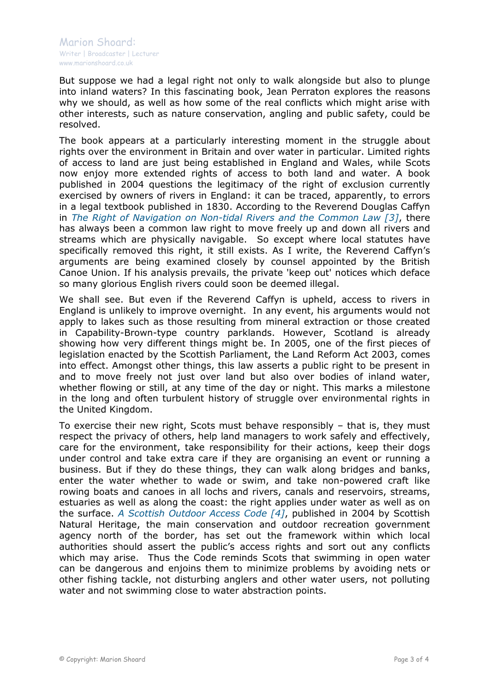But suppose we had a legal right not only to walk alongside but also to plunge into inland waters? In this fascinating book, Jean Perraton explores the reasons why we should, as well as how some of the real conflicts which might arise with other interests, such as nature conservation, angling and public safety, could be resolved.

The book appears at a particularly interesting moment in the struggle about rights over the environment in Britain and over water in particular. Limited rights of access to land are just being established in England and Wales, while Scots now enjoy more extended rights of access to both land and water. A book published in 2004 questions the legitimacy of the right of exclusion currently exercised by owners of rivers in England: it can be traced, apparently, to errors in a legal textbook published in 1830. According to the Reverend Douglas Caffyn in The Right of Navigation on Non-tidal Rivers and the Common Law [3], there has always been a common law right to move freely up and down all rivers and streams which are physically navigable. So except where local statutes have specifically removed this right, it still exists. As I write, the Reverend Caffyn's arguments are being examined closely by counsel appointed by the British Canoe Union. If his analysis prevails, the private 'keep out' notices which deface so many glorious English rivers could soon be deemed illegal.

We shall see. But even if the Reverend Caffyn is upheld, access to rivers in England is unlikely to improve overnight. In any event, his arguments would not apply to lakes such as those resulting from mineral extraction or those created in Capability-Brown-type country parklands. However, Scotland is already showing how very different things might be. In 2005, one of the first pieces of legislation enacted by the Scottish Parliament, the Land Reform Act 2003, comes into effect. Amongst other things, this law asserts a public right to be present in and to move freely not just over land but also over bodies of inland water, whether flowing or still, at any time of the day or night. This marks a milestone in the long and often turbulent history of struggle over environmental rights in the United Kingdom.

To exercise their new right, Scots must behave responsibly – that is, they must respect the privacy of others, help land managers to work safely and effectively, care for the environment, take responsibility for their actions, keep their dogs under control and take extra care if they are organising an event or running a business. But if they do these things, they can walk along bridges and banks, enter the water whether to wade or swim, and take non-powered craft like rowing boats and canoes in all lochs and rivers, canals and reservoirs, streams, estuaries as well as along the coast: the right applies under water as well as on the surface. A Scottish Outdoor Access Code [4], published in 2004 by Scottish Natural Heritage, the main conservation and outdoor recreation government agency north of the border, has set out the framework within which local authorities should assert the public's access rights and sort out any conflicts which may arise. Thus the Code reminds Scots that swimming in open water can be dangerous and enjoins them to minimize problems by avoiding nets or other fishing tackle, not disturbing anglers and other water users, not polluting water and not swimming close to water abstraction points.